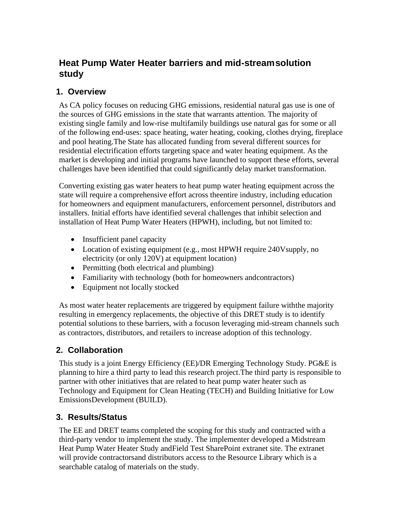# **Heat Pump Water Heater barriers and mid-stream solution study**

## **1. Overview**

As CA policy focuses on reducing GHG emissions, residential natural gas use is one of the sources of GHG emissions in the state that warrants attention. The majority of existing single family and low-rise multifamily buildings use natural gas for some or all of the following end-uses: space heating, water heating, cooking, clothes drying, fireplace and pool heating.The State has allocated funding from several different sources for residential electrification efforts targeting space and water heating equipment. As the market is developing and initial programs have launched to support these efforts, several challenges have been identified that could significantly delay market transformation.

Converting existing gas water heaters to heat pump water heating equipment across the state will require a comprehensive effort across theentire industry, including education for homeowners and equipment manufacturers, enforcement personnel, distributors and installers. Initial efforts have identified several challenges that inhibit selection and installation of Heat Pump Water Heaters (HPWH), including, but not limited to:

- Insufficient panel capacity
- Location of existing equipment (e.g., most HPWH require 240Vsupply, no electricity (or only 120V) at equipment location)
- Permitting (both electrical and plumbing)
- Familiarity with technology (both for homeowners and contractors)
- Equipment not locally stocked

As most water heater replacements are triggered by equipment failure withthe majority resulting in emergency replacements, the objective of this DRET study is to identify potential solutions to these barriers, with a focuson leveraging mid-stream channels such as contractors, distributors, and retailers to increase adoption of this technology.

## **2. Collaboration**

This study is a joint Energy Efficiency (EE)/DR Emerging Technology Study. PG&E is planning to hire a third party to lead this research project.The third party is responsible to partner with other initiatives that are related to heat pump water heater such as Technology and Equipment for Clean Heating (TECH) and Building Initiative for Low EmissionsDevelopment (BUILD).

#### **3. Results/Status**

The EE and DRET teams completed the scoping for this study and contracted with a third-party vendor to implement the study. The implementer developed a Midstream Heat Pump Water Heater Study andField Test SharePoint extranet site. The extranet will provide contractorsand distributors access to the Resource Library which is a searchable catalog of materials on the study.